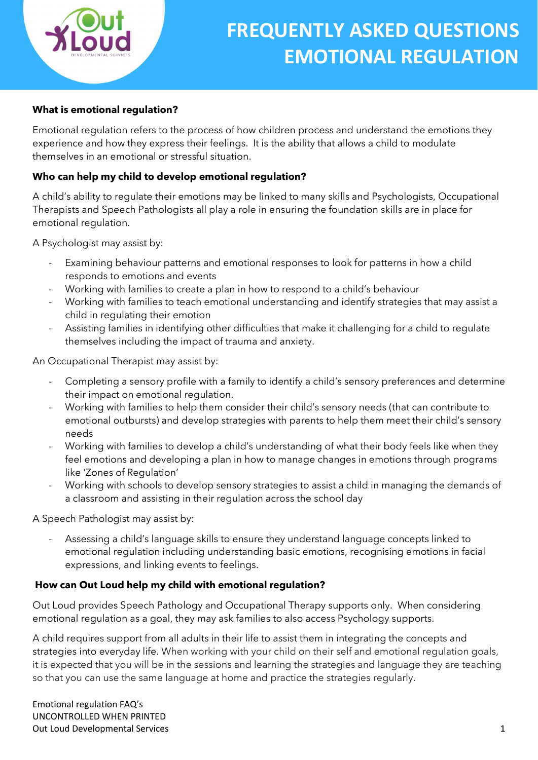

## What is emotional regulation?

Emotional regulation refers to the process of how children process and understand the emotions they experience and how they express their feelings. It is the ability that allows a child to modulate themselves in an emotional or stressful situation.

## Who can help my child to develop emotional regulation?

A child's ability to regulate their emotions may be linked to many skills and Psychologists, Occupational Therapists and Speech Pathologists all play a role in ensuring the foundation skills are in place for emotional regulation.

A Psychologist may assist by:

- Examining behaviour patterns and emotional responses to look for patterns in how a child responds to emotions and events
- Working with families to create a plan in how to respond to a child's behaviour
- Working with families to teach emotional understanding and identify strategies that may assist a child in regulating their emotion
- Assisting families in identifying other difficulties that make it challenging for a child to regulate themselves including the impact of trauma and anxiety.

An Occupational Therapist may assist by:

- Completing a sensory profile with a family to identify a child's sensory preferences and determine their impact on emotional regulation.
- Working with families to help them consider their child's sensory needs (that can contribute to emotional outbursts) and develop strategies with parents to help them meet their child's sensory needs
- Working with families to develop a child's understanding of what their body feels like when they feel emotions and developing a plan in how to manage changes in emotions through programs like 'Zones of Regulation'
- Working with schools to develop sensory strategies to assist a child in managing the demands of a classroom and assisting in their regulation across the school day

A Speech Pathologist may assist by:

- Assessing a child's language skills to ensure they understand language concepts linked to emotional regulation including understanding basic emotions, recognising emotions in facial expressions, and linking events to feelings.

## How can Out Loud help my child with emotional regulation?

Out Loud provides Speech Pathology and Occupational Therapy supports only. When considering emotional regulation as a goal, they may ask families to also access Psychology supports.

A child requires support from all adults in their life to assist them in integrating the concepts and strategies into everyday life. When working with your child on their self and emotional regulation goals, it is expected that you will be in the sessions and learning the strategies and language they are teaching so that you can use the same language at home and practice the strategies regularly.